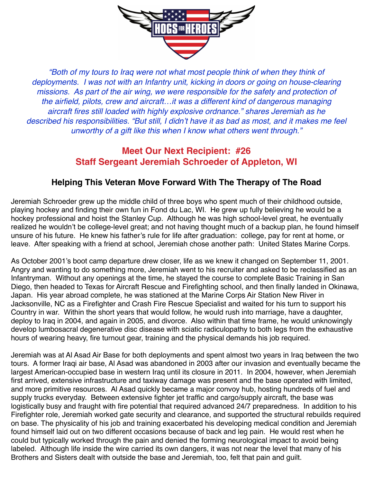

*"Both of my tours to Iraq were not what most people think of when they think of deployments. I was not with an Infantry unit, kicking in doors or going on house-clearing missions. As part of the air wing, we were responsible for the safety and protection of the airfield, pilots, crew and aircraft…it was a different kind of dangerous managing aircraft fires still loaded with highly explosive ordnance." shares Jeremiah as he described his responsibilities. "But still, I didn't have it as bad as most, and it makes me feel unworthy of a gift like this when I know what others went through."* 

## **Meet Our Next Recipient: #26 Staff Sergeant Jeremiah Schroeder of Appleton, WI**

## **Helping This Veteran Move Forward With The Therapy of The Road**

Jeremiah Schroeder grew up the middle child of three boys who spent much of their childhood outside, playing hockey and finding their own fun in Fond du Lac, WI. He grew up fully believing he would be a hockey professional and hoist the Stanley Cup. Although he was high school-level great, he eventually realized he wouldn't be college-level great; and not having thought much of a backup plan, he found himself unsure of his future. He knew his father's rule for life after graduation: college, pay for rent at home, or leave. After speaking with a friend at school, Jeremiah chose another path: United States Marine Corps.

As October 2001's boot camp departure drew closer, life as we knew it changed on September 11, 2001. Angry and wanting to do something more, Jeremiah went to his recruiter and asked to be reclassified as an Infantryman. Without any openings at the time, he stayed the course to complete Basic Training in San Diego, then headed to Texas for Aircraft Rescue and Firefighting school, and then finally landed in Okinawa, Japan. His year abroad complete, he was stationed at the Marine Corps Air Station New River in Jacksonville, NC as a Firefighter and Crash Fire Rescue Specialist and waited for his turn to support his Country in war. Within the short years that would follow, he would rush into marriage, have a daughter, deploy to Iraq in 2004, and again in 2005, and divorce. Also within that time frame, he would unknowingly develop lumbosacral degenerative disc disease with sciatic radiculopathy to both legs from the exhaustive hours of wearing heavy, fire turnout gear, training and the physical demands his job required.

Jeremiah was at Al Asad Air Base for both deployments and spent almost two years in Iraq between the two tours. A former Iraqi air base, Al Asad was abandoned in 2003 after our invasion and eventually became the largest American-occupied base in western Iraq until its closure in 2011. In 2004, however, when Jeremiah first arrived, extensive infrastructure and taxiway damage was present and the base operated with limited, and more primitive resources. Al Asad quickly became a major convoy hub, hosting hundreds of fuel and supply trucks everyday. Between extensive fighter jet traffic and cargo/supply aircraft, the base was logistically busy and fraught with fire potential that required advanced 24/7 preparedness. In addition to his Firefighter role, Jeremiah worked gate security and clearance, and supported the structural rebuilds required on base. The physicality of his job and training exacerbated his developing medical condition and Jeremiah found himself laid out on two different occasions because of back and leg pain. He would rest when he could but typically worked through the pain and denied the forming neurological impact to avoid being labeled. Although life inside the wire carried its own dangers, it was not near the level that many of his Brothers and Sisters dealt with outside the base and Jeremiah, too, felt that pain and guilt.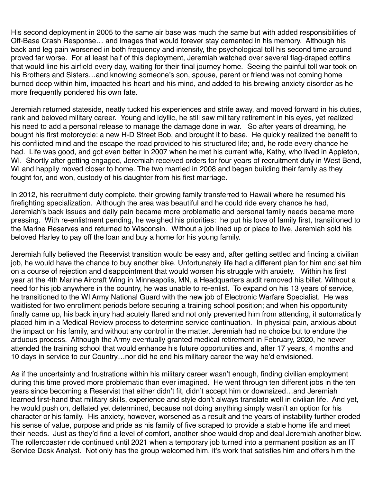His second deployment in 2005 to the same air base was much the same but with added responsibilities of Off-Base Crash Response… and images that would forever stay cemented in his memory. Although his back and leg pain worsened in both frequency and intensity, the psychological toll his second time around proved far worse. For at least half of this deployment, Jeremiah watched over several flag-draped coffins that would line his airfield every day, waiting for their final journey home. Seeing the painful toll war took on his Brothers and Sisters…and knowing someone's son, spouse, parent or friend was not coming home burned deep within him, impacted his heart and his mind, and added to his brewing anxiety disorder as he more frequently pondered his own fate.

Jeremiah returned stateside, neatly tucked his experiences and strife away, and moved forward in his duties, rank and beloved military career. Young and idyllic, he still saw military retirement in his eyes, yet realized his need to add a personal release to manage the damage done in war. So after years of dreaming, he bought his first motorcycle: a new H-D Street Bob, and brought it to base. He quickly realized the benefit to his conflicted mind and the escape the road provided to his structured life; and, he rode every chance he had. Life was good, and got even better in 2007 when he met his current wife, Kathy, who lived in Appleton, WI. Shortly after getting engaged, Jeremiah received orders for four years of recruitment duty in West Bend, WI and happily moved closer to home. The two married in 2008 and began building their family as they fought for, and won, custody of his daughter from his first marriage.

In 2012, his recruitment duty complete, their growing family transferred to Hawaii where he resumed his firefighting specialization. Although the area was beautiful and he could ride every chance he had, Jeremiah's back issues and daily pain became more problematic and personal family needs became more pressing. With re-enlistment pending, he weighed his priorities: he put his love of family first, transitioned to the Marine Reserves and returned to Wisconsin. Without a job lined up or place to live, Jeremiah sold his beloved Harley to pay off the loan and buy a home for his young family.

Jeremiah fully believed the Reservist transition would be easy and, after getting settled and finding a civilian job, he would have the chance to buy another bike. Unfortunately life had a different plan for him and set him on a course of rejection and disappointment that would worsen his struggle with anxiety. Within his first year at the 4th Marine Aircraft Wing in Minneapolis, MN, a Headquarters audit removed his billet. Without a need for his job anywhere in the country, he was unable to re-enlist. To expand on his 13 years of service, he transitioned to the WI Army National Guard with the new job of Electronic Warfare Specialist. He was waitlisted for two enrollment periods before securing a training school position; and when his opportunity finally came up, his back injury had acutely flared and not only prevented him from attending, it automatically placed him in a Medical Review process to determine service continuation. In physical pain, anxious about the impact on his family, and without any control in the matter, Jeremiah had no choice but to endure the arduous process. Although the Army eventually granted medical retirement in February, 2020, he never attended the training school that would enhance his future opportunities and, after 17 years, 4 months and 10 days in service to our Country…nor did he end his military career the way he'd envisioned.

As if the uncertainty and frustrations within his military career wasn't enough, finding civilian employment during this time proved more problematic than ever imagined. He went through ten different jobs in the ten years since becoming a Reservist that either didn't fit, didn't accept him or downsized…and Jeremiah learned first-hand that military skills, experience and style don't always translate well in civilian life. And yet, he would push on, deflated yet determined, because not doing anything simply wasn't an option for his character or his family. His anxiety, however, worsened as a result and the years of instability further eroded his sense of value, purpose and pride as his family of five scraped to provide a stable home life and meet their needs. Just as they'd find a level of comfort, another shoe would drop and deal Jeremiah another blow. The rollercoaster ride continued until 2021 when a temporary job turned into a permanent position as an IT Service Desk Analyst. Not only has the group welcomed him, it's work that satisfies him and offers him the